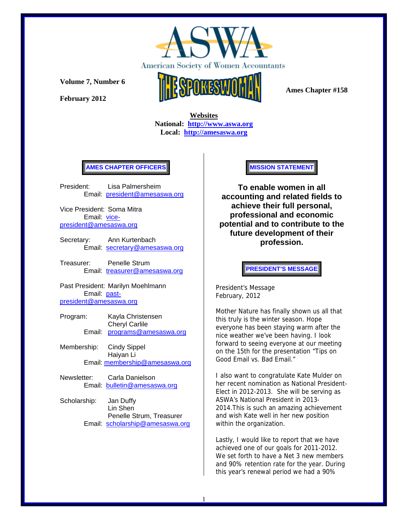

**February 2012** 



 **Ames Chapter #158** 

 **Websites National: http://www.aswa.org Local: http://amesaswa.org**

### **AMES CHAPTER OFFICERS**

President: Lisa Palmersheim Email: president@amesaswa.org

Vice President: Soma Mitra Email: vicepresident@amesaswa.org

- Secretary: Ann Kurtenbach Email: secretary@amesaswa.org
- Treasurer: Penelle Strum Email: treasurer@amesaswa.org

Past President: Marilyn Moehlmann Email: pastpresident@amesaswa.org

- Program: Kayla Christensen Cheryl Carlile Email: programs@amesaswa.org
- Membership: Cindy Sippel Haiyan Li Email: membership@amesaswa.org
- Newsletter: Carla Danielson Email: bulletin@amesaswa.org
- Scholarship: Jan Duffy Lin Shen Penelle Strum, Treasurer Email: scholarship@amesaswa.org

#### **MISSION STATEMENT**

**To enable women in all accounting and related fields to achieve their full personal, professional and economic potential and to contribute to the future development of their profession.**

**PRESIDENT'S MESSAGE** 

President's Message February, 2012

Mother Nature has finally shown us all that this truly is the winter season. Hope everyone has been staying warm after the nice weather we've been having. I look forward to seeing everyone at our meeting on the 15th for the presentation "Tips on Good Email vs. Bad Email."

I also want to congratulate Kate Mulder on her recent nomination as National President-Elect in 2012-2013. She will be serving as ASWA's National President in 2013- 2014.This is such an amazing achievement and wish Kate well in her new position within the organization.

Lastly, I would like to report that we have achieved one of our goals for 2011-2012. We set forth to have a Net 3 new members and 90% retention rate for the year. During this year's renewal period we had a 90%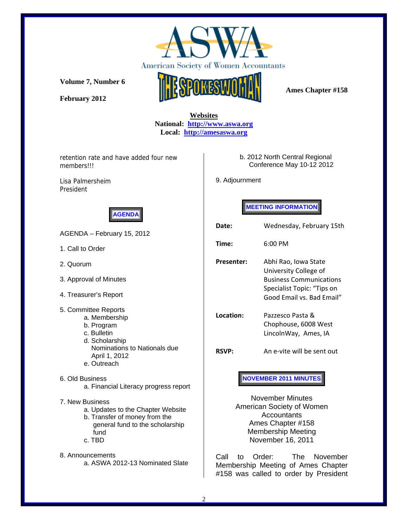

**February 2012** 



# **Websites National: http://www.aswa.org Local: http://amesaswa.org**

retention rate and have added four new members!!!

Lisa Palmersheim President



AGENDA – February 15, 2012

- 1. Call to Order
- 2. Quorum
- 3. Approval of Minutes
- 4. Treasurer's Report
- 5. Committee Reports
	- a. Membership
	- b. Program c. Bulletin
	- d. Scholarship
	- Nominations to Nationals due April 1, 2012
	- e. Outreach
- 6. Old Business
	- a. Financial Literacy progress report
- 7. New Business
	- a. Updates to the Chapter Website
	- b. Transfer of money from the general fund to the scholarship fund
	- c. TBD
- 8. Announcements a. ASWA 2012-13 Nominated Slate

### b. 2012 North Central Regional Conference May 10-12 2012

9. Adjournment

# **MEETING INFORMATION**

| Date:                                                                                        | Wednesday, February 15th                                                                                                                   |  |
|----------------------------------------------------------------------------------------------|--------------------------------------------------------------------------------------------------------------------------------------------|--|
| Time:                                                                                        | $6:00 \text{ PM}$                                                                                                                          |  |
| <b>Presenter:</b>                                                                            | Abhi Rao, Iowa State<br>University College of<br><b>Business Communications</b><br>Specialist Topic: "Tips on<br>Good Email vs. Bad Email" |  |
| Location:                                                                                    | Pazzesco Pasta &<br>Chophouse, 6008 West<br>LincolnWay, Ames, IA                                                                           |  |
| <b>RSVP:</b>                                                                                 | An e-vite will be sent out                                                                                                                 |  |
| <b>NOVEMBER 2011 MINUTES</b><br>November Minutes<br>American Society of Women<br>Accountants |                                                                                                                                            |  |

Accountants Ames Chapter #158 Membership Meeting November 16, 2011

Call to Order: The November Membership Meeting of Ames Chapter #158 was called to order by President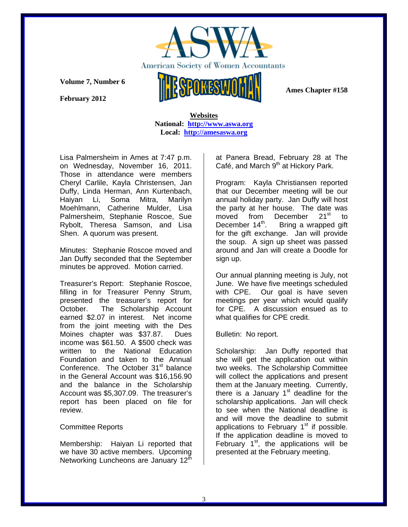

 **Ames Chapter #158** 

**Volume 7, Number 6** 

**February 2012** 

 **Websites National: http://www.aswa.org Local: http://amesaswa.org**

Lisa Palmersheim in Ames at 7:47 p.m. on Wednesday, November 16, 2011. Those in attendance were members Cheryl Carlile, Kayla Christensen, Jan Duffy, Linda Herman, Ann Kurtenbach, Haiyan Li, Soma Mitra, Marilyn Moehlmann, Catherine Mulder, Lisa Palmersheim, Stephanie Roscoe, Sue Rybolt, Theresa Samson, and Lisa Shen. A quorum was present.

Minutes: Stephanie Roscoe moved and Jan Duffy seconded that the September minutes be approved. Motion carried.

Treasurer's Report: Stephanie Roscoe, filling in for Treasurer Penny Strum, presented the treasurer's report for October. The Scholarship Account earned \$2.07 in interest. Net income from the joint meeting with the Des Moines chapter was \$37.87. Dues income was \$61.50. A \$500 check was written to the National Education Foundation and taken to the Annual Conference. The October 31<sup>st</sup> balance in the General Account was \$16,156.90 and the balance in the Scholarship Account was \$5,307.09. The treasurer's report has been placed on file for review.

# Committee Reports

Membership: Haiyan Li reported that we have 30 active members. Upcoming Networking Luncheons are January 12<sup>th</sup>

at Panera Bread, February 28 at The Café, and March  $9<sup>th</sup>$  at Hickory Park.

Program: Kayla Christiansen reported that our December meeting will be our annual holiday party. Jan Duffy will host the party at her house. The date was moved from December 21<sup>st</sup> to<br>December 14<sup>th</sup>. Bring a wrapped gift Bring a wrapped gift. for the gift exchange. Jan will provide the soup. A sign up sheet was passed around and Jan will create a Doodle for sign up.

Our annual planning meeting is July, not June. We have five meetings scheduled with CPE. Our goal is have seven meetings per year which would qualify for CPE. A discussion ensued as to what qualifies for CPE credit.

Bulletin: No report.

Scholarship: Jan Duffy reported that she will get the application out within two weeks. The Scholarship Committee will collect the applications and present them at the January meeting. Currently, there is a January  $1<sup>st</sup>$  deadline for the scholarship applications. Jan will check to see when the National deadline is and will move the deadline to submit applications to February  $1<sup>st</sup>$  if possible. If the application deadline is moved to February  $1<sup>st</sup>$ , the applications will be presented at the February meeting.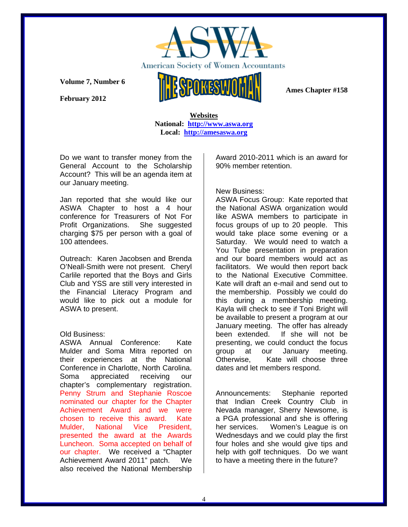

**February 2012** 



 **Ames Chapter #158** 

 **Websites National: http://www.aswa.org Local: http://amesaswa.org**

Do we want to transfer money from the General Account to the Scholarship Account? This will be an agenda item at our January meeting.

Jan reported that she would like our ASWA Chapter to host a 4 hour conference for Treasurers of Not For Profit Organizations. She suggested charging \$75 per person with a goal of 100 attendees.

Outreach: Karen Jacobsen and Brenda O'Neall-Smith were not present. Cheryl Carlile reported that the Boys and Girls Club and YSS are still very interested in the Financial Literacy Program and would like to pick out a module for ASWA to present.

### Old Business:

ASWA Annual Conference: Kate Mulder and Soma Mitra reported on their experiences at the National Conference in Charlotte, North Carolina. Soma appreciated receiving our chapter's complementary registration. Penny Strum and Stephanie Roscoe nominated our chapter for the Chapter Achievement Award and we were chosen to receive this award. Kate Mulder, National Vice President, presented the award at the Awards Luncheon. Soma accepted on behalf of our chapter. We received a "Chapter Achievement Award 2011" patch. We also received the National Membership

Award 2010-2011 which is an award for 90% member retention.

# New Business:

ASWA Focus Group: Kate reported that the National ASWA organization would like ASWA members to participate in focus groups of up to 20 people. This would take place some evening or a Saturday. We would need to watch a You Tube presentation in preparation and our board members would act as facilitators. We would then report back to the National Executive Committee. Kate will draft an e-mail and send out to the membership. Possibly we could do this during a membership meeting. Kayla will check to see if Toni Bright will be available to present a program at our January meeting. The offer has already been extended. If she will not be presenting, we could conduct the focus group at our January meeting. Otherwise, Kate will choose three dates and let members respond.

Announcements: Stephanie reported that Indian Creek Country Club in Nevada manager, Sherry Newsome, is a PGA professional and she is offering her services. Women's League is on Wednesdays and we could play the first four holes and she would give tips and help with golf techniques. Do we want to have a meeting there in the future?